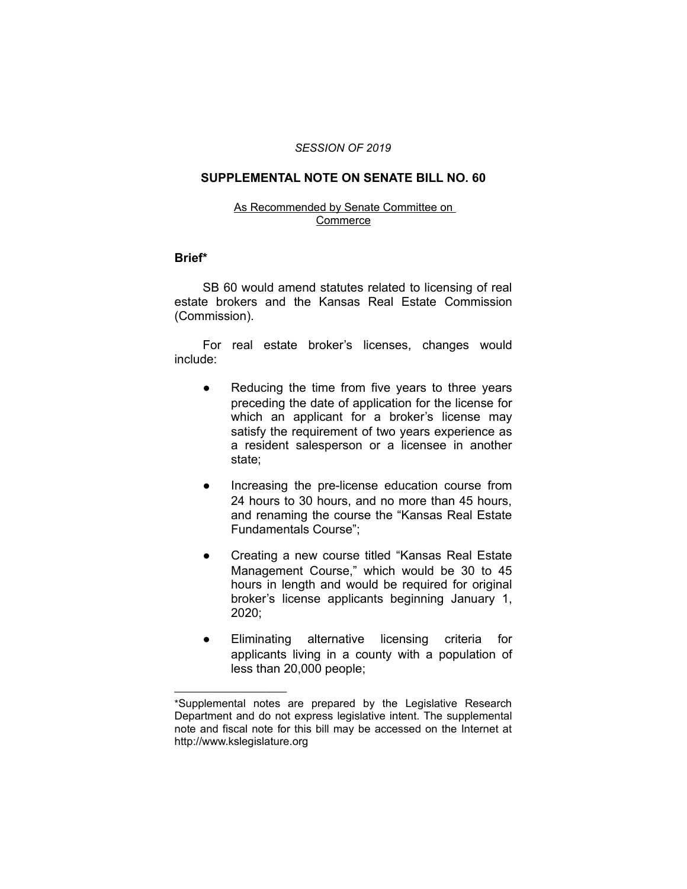#### *SESSION OF 2019*

## **SUPPLEMENTAL NOTE ON SENATE BILL NO. 60**

### As Recommended by Senate Committee on **Commerce**

### **Brief\***

SB 60 would amend statutes related to licensing of real estate brokers and the Kansas Real Estate Commission (Commission).

For real estate broker's licenses, changes would include:

- Reducing the time from five years to three years preceding the date of application for the license for which an applicant for a broker's license may satisfy the requirement of two years experience as a resident salesperson or a licensee in another state;
- Increasing the pre-license education course from 24 hours to 30 hours, and no more than 45 hours, and renaming the course the "Kansas Real Estate Fundamentals Course";
- Creating a new course titled "Kansas Real Estate Management Course," which would be 30 to 45 hours in length and would be required for original broker's license applicants beginning January 1, 2020;
- Eliminating alternative licensing criteria for applicants living in a county with a population of less than 20,000 people;

 $\overline{\phantom{a}}$  , where  $\overline{\phantom{a}}$  , where  $\overline{\phantom{a}}$ 

<sup>\*</sup>Supplemental notes are prepared by the Legislative Research Department and do not express legislative intent. The supplemental note and fiscal note for this bill may be accessed on the Internet at http://www.kslegislature.org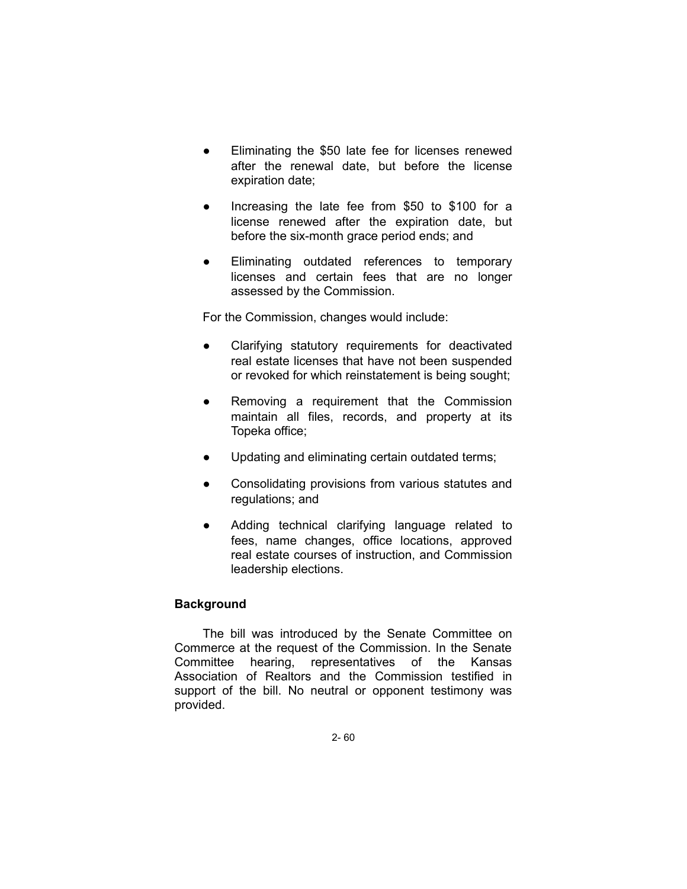- Eliminating the \$50 late fee for licenses renewed after the renewal date, but before the license expiration date;
- Increasing the late fee from \$50 to \$100 for a license renewed after the expiration date, but before the six-month grace period ends; and
- Eliminating outdated references to temporary licenses and certain fees that are no longer assessed by the Commission.

For the Commission, changes would include:

- Clarifying statutory requirements for deactivated real estate licenses that have not been suspended or revoked for which reinstatement is being sought;
- Removing a requirement that the Commission maintain all files, records, and property at its Topeka office;
- Updating and eliminating certain outdated terms;
- Consolidating provisions from various statutes and regulations; and
- Adding technical clarifying language related to fees, name changes, office locations, approved real estate courses of instruction, and Commission leadership elections.

# **Background**

The bill was introduced by the Senate Committee on Commerce at the request of the Commission. In the Senate Committee hearing, representatives of the Kansas Association of Realtors and the Commission testified in support of the bill. No neutral or opponent testimony was provided.